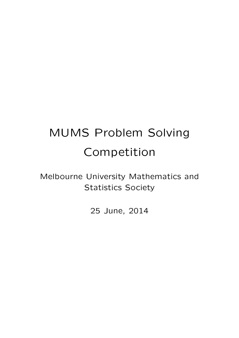# MUMS Problem Solving Competition

Melbourne University Mathematics and Statistics Society

25 June, 2014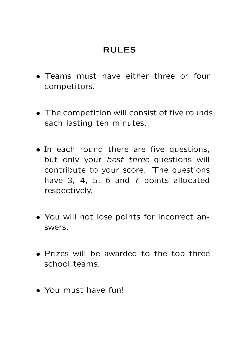#### RULES

- Teams must have either three or four competitors.
- The competition will consist of five rounds, each lasting ten minutes.
- In each round there are five questions, but only your best three questions will contribute to your score. The questions have 3, 4, 5, 6 and 7 points allocated respectively.
- You will not lose points for incorrect answers.
- Prizes will be awarded to the top three school teams.
- You must have fun!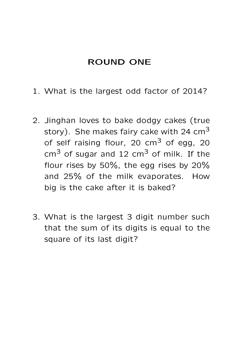#### ROUND ONE

- 1. What is the largest odd factor of 2014?
- 2. Jinghan loves to bake dodgy cakes (true story). She makes fairy cake with 24  $cm<sup>3</sup>$ of self raising flour, 20  $cm<sup>3</sup>$  of egg, 20  $cm<sup>3</sup>$  of sugar and 12  $cm<sup>3</sup>$  of milk. If the flour rises by 50%, the egg rises by 20% and 25% of the milk evaporates. How big is the cake after it is baked?
- 3. What is the largest 3 digit number such that the sum of its digits is equal to the square of its last digit?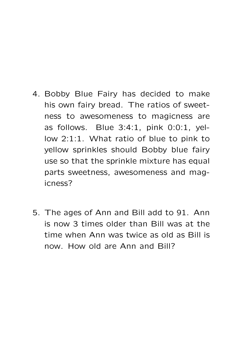- 4. Bobby Blue Fairy has decided to make his own fairy bread. The ratios of sweetness to awesomeness to magicness are as follows. Blue 3:4:1, pink 0:0:1, yellow 2:1:1. What ratio of blue to pink to yellow sprinkles should Bobby blue fairy use so that the sprinkle mixture has equal parts sweetness, awesomeness and magicness?
- 5. The ages of Ann and Bill add to 91. Ann is now 3 times older than Bill was at the time when Ann was twice as old as Bill is now. How old are Ann and Bill?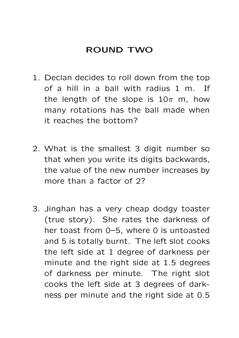#### ROUND TWO

- 1. Declan decides to roll down from the top of a hill in a ball with radius 1 m. If the length of the slope is  $10\pi$  m, how many rotations has the ball made when it reaches the bottom?
- 2. What is the smallest 3 digit number so that when you write its digits backwards, the value of the new number increases by more than a factor of 2?
- 3. Jinghan has a very cheap dodgy toaster (true story). She rates the darkness of her toast from 0–5, where 0 is untoasted and 5 is totally burnt. The left slot cooks the left side at 1 degree of darkness per minute and the right side at 1.5 degrees of darkness per minute. The right slot cooks the left side at 3 degrees of darkness per minute and the right side at 0.5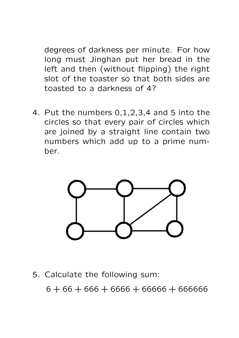degrees of darkness per minute. For how long must Jinghan put her bread in the left and then (without flipping) the right slot of the toaster so that both sides are toasted to a darkness of 4?

4. Put the numbers 0,1,2,3,4 and 5 into the circles so that every pair of circles which are joined by a straight line contain two numbers which add up to a prime number.



5. Calculate the following sum:

 $6 + 66 + 666 + 6666 + 66666 + 666666$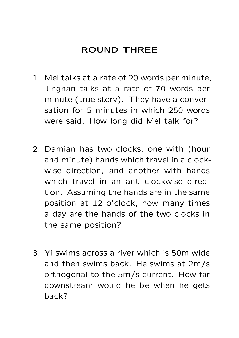## ROUND THREE

- 1. Mel talks at a rate of 20 words per minute, Jinghan talks at a rate of 70 words per minute (true story). They have a conversation for 5 minutes in which 250 words were said. How long did Mel talk for?
- 2. Damian has two clocks, one with (hour and minute) hands which travel in a clockwise direction, and another with hands which travel in an anti-clockwise direction. Assuming the hands are in the same position at 12 o'clock, how many times a day are the hands of the two clocks in the same position?
- 3. Yi swims across a river which is 50m wide and then swims back. He swims at 2m/s orthogonal to the 5m/s current. How far downstream would he be when he gets back?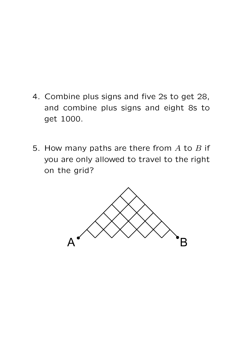- 4. Combine plus signs and five 2s to get 28, and combine plus signs and eight 8s to get 1000.
- 5. How many paths are there from  $A$  to  $B$  if you are only allowed to travel to the right on the grid?

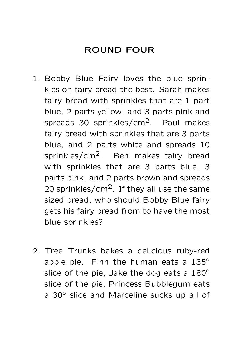## ROUND FOUR

- 1. Bobby Blue Fairy loves the blue sprinkles on fairy bread the best. Sarah makes fairy bread with sprinkles that are 1 part blue, 2 parts yellow, and 3 parts pink and spreads 30 sprinkles/cm<sup>2</sup>. Paul makes fairy bread with sprinkles that are 3 parts blue, and 2 parts white and spreads 10 sprinkles/cm<sup>2</sup>. Ben makes fairy bread with sprinkles that are 3 parts blue, 3 parts pink, and 2 parts brown and spreads 20 sprinkles/ $\text{cm}^2$ . If they all use the same sized bread, who should Bobby Blue fairy gets his fairy bread from to have the most blue sprinkles?
- 2. Tree Trunks bakes a delicious ruby-red apple pie. Finn the human eats a  $135^\circ$ slice of the pie, Jake the dog eats a 180° slice of the pie, Princess Bubblegum eats a 30◦ slice and Marceline sucks up all of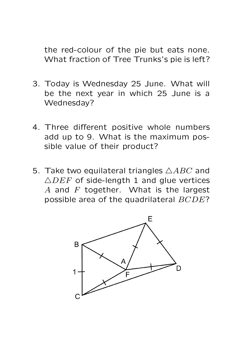the red-colour of the pie but eats none. What fraction of Tree Trunks's pie is left?

- 3. Today is Wednesday 25 June. What will be the next year in which 25 June is a Wednesday?
- 4. Three different positive whole numbers add up to 9. What is the maximum possible value of their product?
- 5. Take two equilateral triangles  $\triangle ABC$  and  $\triangle DEF$  of side-length 1 and glue vertices A and  $F$  together. What is the largest possible area of the quadrilateral BCDE?

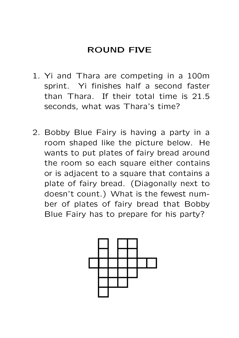## ROUND FIVE

- 1. Yi and Thara are competing in a 100m sprint. Yi finishes half a second faster than Thara. If their total time is 21.5 seconds, what was Thara's time?
- 2. Bobby Blue Fairy is having a party in a room shaped like the picture below. He wants to put plates of fairy bread around the room so each square either contains or is adjacent to a square that contains a plate of fairy bread. (Diagonally next to doesn't count.) What is the fewest number of plates of fairy bread that Bobby Blue Fairy has to prepare for his party?

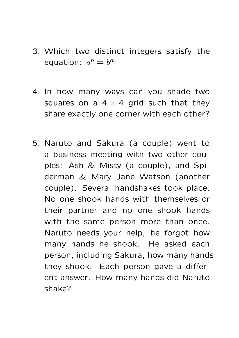- 3. Which two distinct integers satisfy the equation:  $a^b = b^a$
- 4. In how many ways can you shade two squares on a  $4 \times 4$  grid such that they share exactly one corner with each other?
- 5. Naruto and Sakura (a couple) went to a business meeting with two other couples: Ash & Misty (a couple), and Spiderman & Mary Jane Watson (another couple). Several handshakes took place. No one shook hands with themselves or their partner and no one shook hands with the same person more than once. Naruto needs your help, he forgot how many hands he shook. He asked each person, including Sakura, how many hands they shook. Each person gave a different answer. How many hands did Naruto shake?